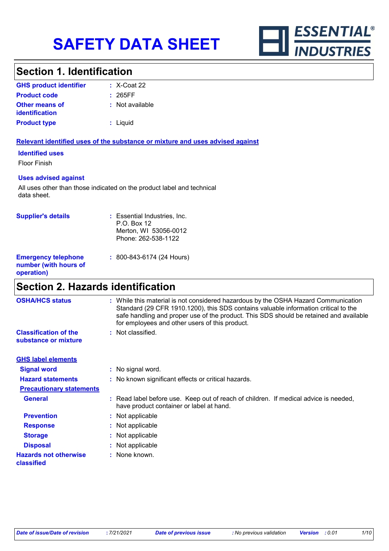

# **Section 1. Identification**

| <b>GHS product identifier</b>                  | $\div$ X-Coat 22 |
|------------------------------------------------|------------------|
| <b>Product code</b>                            | : 265FF          |
| <b>Other means of</b><br><i>identification</i> | : Not available  |
| <b>Product type</b>                            | : Liquid         |

## **Relevant identified uses of the substance or mixture and uses advised against**

**Identified uses**

Floor Finish

## **Uses advised against**

All uses other than those indicated on the product label and technical data sheet.

| <b>Supplier's details</b>                                         | : Essential Industries, Inc.<br>P.O. Box 12<br>Merton, WI 53056-0012<br>Phone: 262-538-1122 |
|-------------------------------------------------------------------|---------------------------------------------------------------------------------------------|
| <b>Emergency telephone</b><br>number (with hours of<br>operation) | $: 800 - 843 - 6174$ (24 Hours)                                                             |

# **Section 2. Hazards identification**

| <b>OSHA/HCS status</b>                               | : While this material is not considered hazardous by the OSHA Hazard Communication<br>Standard (29 CFR 1910.1200), this SDS contains valuable information critical to the<br>safe handling and proper use of the product. This SDS should be retained and available<br>for employees and other users of this product. |
|------------------------------------------------------|-----------------------------------------------------------------------------------------------------------------------------------------------------------------------------------------------------------------------------------------------------------------------------------------------------------------------|
| <b>Classification of the</b><br>substance or mixture | : Not classified.                                                                                                                                                                                                                                                                                                     |
| <b>GHS label elements</b>                            |                                                                                                                                                                                                                                                                                                                       |
| <b>Signal word</b>                                   | : No signal word.                                                                                                                                                                                                                                                                                                     |
| <b>Hazard statements</b>                             | : No known significant effects or critical hazards.                                                                                                                                                                                                                                                                   |
| <b>Precautionary statements</b>                      |                                                                                                                                                                                                                                                                                                                       |
| <b>General</b>                                       | : Read label before use. Keep out of reach of children. If medical advice is needed,<br>have product container or label at hand.                                                                                                                                                                                      |
| <b>Prevention</b>                                    | : Not applicable                                                                                                                                                                                                                                                                                                      |
| <b>Response</b>                                      | : Not applicable                                                                                                                                                                                                                                                                                                      |
| <b>Storage</b>                                       | : Not applicable                                                                                                                                                                                                                                                                                                      |
| <b>Disposal</b>                                      | : Not applicable                                                                                                                                                                                                                                                                                                      |
| <b>Hazards not otherwise</b><br>classified           | : None known.                                                                                                                                                                                                                                                                                                         |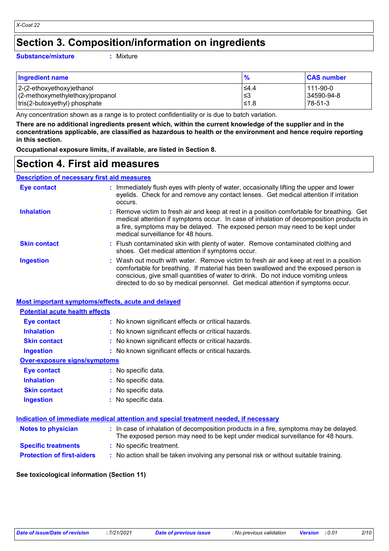# **Section 3. Composition/information on ingredients**

### **Substance/mixture :**

: Mixture

| <b>Ingredient name</b>                                           |             | <b>CAS number</b>     |
|------------------------------------------------------------------|-------------|-----------------------|
| 2-(2-ethoxyethoxy)ethanol                                        | $\leq 4.4$  | 111-90-0              |
| (2-methoxymethylethoxy)propanol<br>tris(2-butoxyethyl) phosphate | l≤3<br>≤1.8 | 34590-94-8<br>78-51-3 |
|                                                                  |             |                       |

Any concentration shown as a range is to protect confidentiality or is due to batch variation.

**There are no additional ingredients present which, within the current knowledge of the supplier and in the concentrations applicable, are classified as hazardous to health or the environment and hence require reporting in this section.**

**Occupational exposure limits, if available, are listed in Section 8.**

# **Section 4. First aid measures**

### **Description of necessary first aid measures**

| <b>Eye contact</b>  | : Immediately flush eyes with plenty of water, occasionally lifting the upper and lower<br>eyelids. Check for and remove any contact lenses. Get medical attention if irritation<br>occurs.                                                                                                                                                            |
|---------------------|--------------------------------------------------------------------------------------------------------------------------------------------------------------------------------------------------------------------------------------------------------------------------------------------------------------------------------------------------------|
| <b>Inhalation</b>   | : Remove victim to fresh air and keep at rest in a position comfortable for breathing. Get<br>medical attention if symptoms occur. In case of inhalation of decomposition products in<br>a fire, symptoms may be delayed. The exposed person may need to be kept under<br>medical surveillance for 48 hours.                                           |
| <b>Skin contact</b> | : Flush contaminated skin with plenty of water. Remove contaminated clothing and<br>shoes. Get medical attention if symptoms occur.                                                                                                                                                                                                                    |
| <b>Ingestion</b>    | : Wash out mouth with water. Remove victim to fresh air and keep at rest in a position<br>comfortable for breathing. If material has been swallowed and the exposed person is<br>conscious, give small quantities of water to drink. Do not induce vomiting unless<br>directed to do so by medical personnel. Get medical attention if symptoms occur. |

## **Most important symptoms/effects, acute and delayed**

# **Eye contact :** No known significant effects or critical hazards. **Potential acute health effects**

| <b>Lyu contact</b>           | $\cdot$ TWO INTOWER SIGNIFICATILE CHECKS OF CHILICAL HAZARDS. |
|------------------------------|---------------------------------------------------------------|
| <b>Inhalation</b>            | : No known significant effects or critical hazards.           |
| <b>Skin contact</b>          | : No known significant effects or critical hazards.           |
| <b>Ingestion</b>             | : No known significant effects or critical hazards.           |
| Over-exposure signs/symptoms |                                                               |
| <b>Eye contact</b>           | : No specific data.                                           |
| <b>Inhalation</b>            | : No specific data.                                           |
| <b>Skin contact</b>          | : No specific data.                                           |
| <b>Ingestion</b>             | : No specific data.                                           |
|                              |                                                               |

|                                   | Indication of immediate medical attention and special treatment needed, if necessary                                                                                     |
|-----------------------------------|--------------------------------------------------------------------------------------------------------------------------------------------------------------------------|
| <b>Notes to physician</b>         | : In case of inhalation of decomposition products in a fire, symptoms may be delayed.<br>The exposed person may need to be kept under medical surveillance for 48 hours. |
| <b>Specific treatments</b>        | : No specific treatment.                                                                                                                                                 |
| <b>Protection of first-aiders</b> | : No action shall be taken involving any personal risk or without suitable training.                                                                                     |

## **See toxicological information (Section 11)**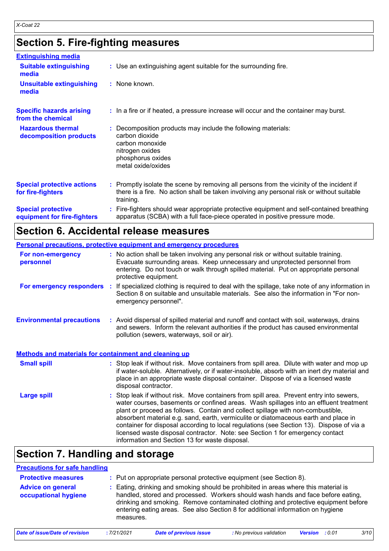# **Section 5. Fire-fighting measures**

| <b>Extinguishing media</b>                               |                                                                                                                                                                                                     |
|----------------------------------------------------------|-----------------------------------------------------------------------------------------------------------------------------------------------------------------------------------------------------|
| <b>Suitable extinguishing</b><br>media                   | : Use an extinguishing agent suitable for the surrounding fire.                                                                                                                                     |
| <b>Unsuitable extinguishing</b><br>media                 | : None known.                                                                                                                                                                                       |
| <b>Specific hazards arising</b><br>from the chemical     | : In a fire or if heated, a pressure increase will occur and the container may burst.                                                                                                               |
| <b>Hazardous thermal</b><br>decomposition products       | Decomposition products may include the following materials:<br>carbon dioxide<br>carbon monoxide<br>nitrogen oxides<br>phosphorus oxides<br>metal oxide/oxides                                      |
| <b>Special protective actions</b><br>for fire-fighters   | : Promptly isolate the scene by removing all persons from the vicinity of the incident if<br>there is a fire. No action shall be taken involving any personal risk or without suitable<br>training. |
| <b>Special protective</b><br>equipment for fire-fighters | Fire-fighters should wear appropriate protective equipment and self-contained breathing<br>apparatus (SCBA) with a full face-piece operated in positive pressure mode.                              |

# **Section 6. Accidental release measures**

|                                                              | Personal precautions, protective equipment and emergency procedures                                                                                                                                                                                                                                                                                                                                                                                                                                                                                                                      |
|--------------------------------------------------------------|------------------------------------------------------------------------------------------------------------------------------------------------------------------------------------------------------------------------------------------------------------------------------------------------------------------------------------------------------------------------------------------------------------------------------------------------------------------------------------------------------------------------------------------------------------------------------------------|
| For non-emergency<br>personnel                               | : No action shall be taken involving any personal risk or without suitable training.<br>Evacuate surrounding areas. Keep unnecessary and unprotected personnel from<br>entering. Do not touch or walk through spilled material. Put on appropriate personal<br>protective equipment.                                                                                                                                                                                                                                                                                                     |
| For emergency responders :                                   | If specialized clothing is required to deal with the spillage, take note of any information in<br>Section 8 on suitable and unsuitable materials. See also the information in "For non-<br>emergency personnel".                                                                                                                                                                                                                                                                                                                                                                         |
| <b>Environmental precautions</b>                             | : Avoid dispersal of spilled material and runoff and contact with soil, waterways, drains<br>and sewers. Inform the relevant authorities if the product has caused environmental<br>pollution (sewers, waterways, soil or air).                                                                                                                                                                                                                                                                                                                                                          |
| <b>Methods and materials for containment and cleaning up</b> |                                                                                                                                                                                                                                                                                                                                                                                                                                                                                                                                                                                          |
| <b>Small spill</b>                                           | : Stop leak if without risk. Move containers from spill area. Dilute with water and mop up<br>if water-soluble. Alternatively, or if water-insoluble, absorb with an inert dry material and<br>place in an appropriate waste disposal container. Dispose of via a licensed waste<br>disposal contractor.                                                                                                                                                                                                                                                                                 |
| <b>Large spill</b>                                           | Stop leak if without risk. Move containers from spill area. Prevent entry into sewers,<br>water courses, basements or confined areas. Wash spillages into an effluent treatment<br>plant or proceed as follows. Contain and collect spillage with non-combustible,<br>absorbent material e.g. sand, earth, vermiculite or diatomaceous earth and place in<br>container for disposal according to local regulations (see Section 13). Dispose of via a<br>licensed waste disposal contractor. Note: see Section 1 for emergency contact<br>information and Section 13 for waste disposal. |

# **Section 7. Handling and storage**

| <b>Precautions for safe handling</b>             |            |                                                                                                                                                                                                                                                                                                                                                |                          |                |        |      |
|--------------------------------------------------|------------|------------------------------------------------------------------------------------------------------------------------------------------------------------------------------------------------------------------------------------------------------------------------------------------------------------------------------------------------|--------------------------|----------------|--------|------|
| <b>Protective measures</b>                       |            | : Put on appropriate personal protective equipment (see Section 8).                                                                                                                                                                                                                                                                            |                          |                |        |      |
| <b>Advice on general</b><br>occupational hygiene | measures.  | Eating, drinking and smoking should be prohibited in areas where this material is<br>handled, stored and processed. Workers should wash hands and face before eating,<br>drinking and smoking. Remove contaminated clothing and protective equipment before<br>entering eating areas. See also Section 8 for additional information on hygiene |                          |                |        |      |
| Date of issue/Date of revision                   | :7/21/2021 | <b>Date of previous issue</b>                                                                                                                                                                                                                                                                                                                  | : No previous validation | <b>Version</b> | : 0.01 | 3/10 |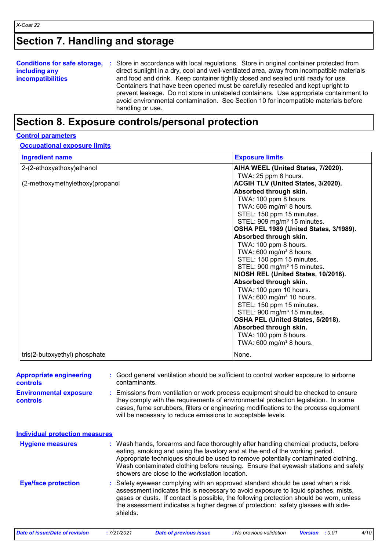# **Section 7. Handling and storage**

| <b>Conditions for safe storage,</b> | : Store in accordance with local regulations. Store in original container protected from  |
|-------------------------------------|-------------------------------------------------------------------------------------------|
| including any                       | direct sunlight in a dry, cool and well-ventilated area, away from incompatible materials |
| <b>incompatibilities</b>            | and food and drink. Keep container tightly closed and sealed until ready for use.         |
|                                     | Containers that have been opened must be carefully resealed and kept upright to           |
|                                     | prevent leakage. Do not store in unlabeled containers. Use appropriate containment to     |
|                                     | avoid environmental contamination. See Section 10 for incompatible materials before       |
|                                     | handling or use.                                                                          |

# **Section 8. Exposure controls/personal protection**

## **Control parameters**

**Occupational exposure limits**

| <b>Ingredient name</b>          | <b>Exposure limits</b>                  |
|---------------------------------|-----------------------------------------|
| 2-(2-ethoxyethoxy) ethanol      | AIHA WEEL (United States, 7/2020).      |
|                                 | TWA: 25 ppm 8 hours.                    |
| (2-methoxymethylethoxy)propanol | ACGIH TLV (United States, 3/2020).      |
|                                 | Absorbed through skin.                  |
|                                 | TWA: 100 ppm 8 hours.                   |
|                                 | TWA: 606 mg/m <sup>3</sup> 8 hours.     |
|                                 | STEL: 150 ppm 15 minutes.               |
|                                 | STEL: 909 mg/m <sup>3</sup> 15 minutes. |
|                                 | OSHA PEL 1989 (United States, 3/1989).  |
|                                 | Absorbed through skin.                  |
|                                 | TWA: 100 ppm 8 hours.                   |
|                                 | TWA: 600 mg/m <sup>3</sup> 8 hours.     |
|                                 | STEL: 150 ppm 15 minutes.               |
|                                 | STEL: 900 mg/m <sup>3</sup> 15 minutes. |
|                                 | NIOSH REL (United States, 10/2016).     |
|                                 | Absorbed through skin.                  |
|                                 | TWA: 100 ppm 10 hours.                  |
|                                 | TWA: 600 mg/m <sup>3</sup> 10 hours.    |
|                                 | STEL: 150 ppm 15 minutes.               |
|                                 | STEL: 900 mg/m <sup>3</sup> 15 minutes. |
|                                 | OSHA PEL (United States, 5/2018).       |
|                                 | Absorbed through skin.                  |
|                                 | TWA: 100 ppm 8 hours.                   |
|                                 | TWA: $600 \text{ mg/m}^3$ 8 hours.      |
| tris(2-butoxyethyl) phosphate   | None.                                   |

| <b>Appropriate engineering</b><br><b>controls</b> | Good general ventilation should be sufficient to control worker exposure to airborne<br>contaminants.                                                                                                                                                                                                                                                                                             |
|---------------------------------------------------|---------------------------------------------------------------------------------------------------------------------------------------------------------------------------------------------------------------------------------------------------------------------------------------------------------------------------------------------------------------------------------------------------|
| <b>Environmental exposure</b><br><b>controls</b>  | Emissions from ventilation or work process equipment should be checked to ensure<br>they comply with the requirements of environmental protection legislation. In some<br>cases, fume scrubbers, filters or engineering modifications to the process equipment<br>will be necessary to reduce emissions to acceptable levels.                                                                     |
| <b>Individual protection measures</b>             |                                                                                                                                                                                                                                                                                                                                                                                                   |
| <b>Hygiene measures</b>                           | : Wash hands, forearms and face thoroughly after handling chemical products, before<br>eating, smoking and using the lavatory and at the end of the working period.<br>Appropriate techniques should be used to remove potentially contaminated clothing.<br>Wash contaminated clothing before reusing. Ensure that eyewash stations and safety<br>showers are close to the workstation location. |
| <b>Eye/face protection</b>                        | Safety eyewear complying with an approved standard should be used when a risk<br>assessment indicates this is necessary to avoid exposure to liquid splashes, mists,<br>gases or dusts. If contact is possible, the following protection should be worn, unless<br>the assessment indicates a higher degree of protection: safety glasses with side-<br>shields.                                  |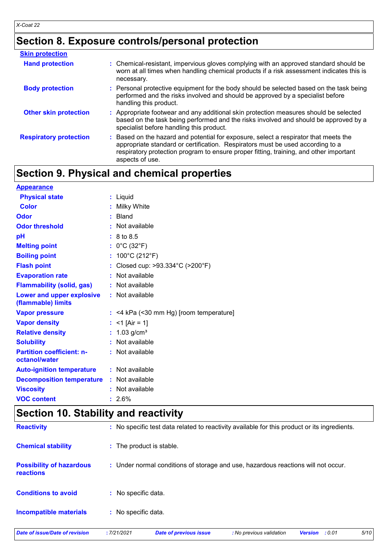# **Section 8. Exposure controls/personal protection**

| <b>Skin protection</b>        |                                                                                                                                                                                                                                                                                     |
|-------------------------------|-------------------------------------------------------------------------------------------------------------------------------------------------------------------------------------------------------------------------------------------------------------------------------------|
| <b>Hand protection</b>        | : Chemical-resistant, impervious gloves complying with an approved standard should be<br>worn at all times when handling chemical products if a risk assessment indicates this is<br>necessary.                                                                                     |
| <b>Body protection</b>        | : Personal protective equipment for the body should be selected based on the task being<br>performed and the risks involved and should be approved by a specialist before<br>handling this product.                                                                                 |
| <b>Other skin protection</b>  | : Appropriate footwear and any additional skin protection measures should be selected<br>based on the task being performed and the risks involved and should be approved by a<br>specialist before handling this product.                                                           |
| <b>Respiratory protection</b> | : Based on the hazard and potential for exposure, select a respirator that meets the<br>appropriate standard or certification. Respirators must be used according to a<br>respiratory protection program to ensure proper fitting, training, and other important<br>aspects of use. |

# **Section 9. Physical and chemical properties**

| <b>Appearance</b>                                 |                                           |
|---------------------------------------------------|-------------------------------------------|
| <b>Physical state</b>                             | : Liquid                                  |
| <b>Color</b>                                      | Milky White                               |
| Odor                                              | Bland                                     |
| <b>Odor threshold</b>                             | : Not available                           |
| pH                                                | : 8 to 8.5                                |
| <b>Melting point</b>                              | : $0^{\circ}$ C (32 $^{\circ}$ F)         |
| <b>Boiling point</b>                              | : $100^{\circ}$ C (212 $^{\circ}$ F)      |
| <b>Flash point</b>                                | : Closed cup: >93.334°C (>200°F)          |
| <b>Evaporation rate</b>                           | : Not available                           |
| <b>Flammability (solid, gas)</b>                  | : Not available                           |
| Lower and upper explosive<br>(flammable) limits   | : Not available                           |
| <b>Vapor pressure</b>                             | $:$ <4 kPa (<30 mm Hg) [room temperature] |
| <b>Vapor density</b>                              | : <1 [Air = 1]                            |
| <b>Relative density</b>                           | : $1.03$ g/cm <sup>3</sup>                |
| <b>Solubility</b>                                 | Not available                             |
| <b>Partition coefficient: n-</b><br>octanol/water | : Not available                           |
| <b>Auto-ignition temperature</b>                  | : Not available                           |
| <b>Decomposition temperature</b>                  | : Not available                           |
| <b>Viscosity</b>                                  | : Not available                           |
| <b>VOC content</b>                                | $: 2.6\%$                                 |

# **Section 10. Stability and reactivity**

| Date of issue/Date of revision                      | :7/21/2021          | <b>Date of previous issue</b>                                                                | : No previous validation | : 0.01<br><b>Version</b> | 5/10 |
|-----------------------------------------------------|---------------------|----------------------------------------------------------------------------------------------|--------------------------|--------------------------|------|
| <b>Incompatible materials</b>                       | : No specific data. |                                                                                              |                          |                          |      |
| <b>Conditions to avoid</b>                          | : No specific data. |                                                                                              |                          |                          |      |
| <b>Possibility of hazardous</b><br><b>reactions</b> |                     | : Under normal conditions of storage and use, hazardous reactions will not occur.            |                          |                          |      |
| <b>Chemical stability</b>                           |                     | : The product is stable.                                                                     |                          |                          |      |
| <b>Reactivity</b>                                   |                     | : No specific test data related to reactivity available for this product or its ingredients. |                          |                          |      |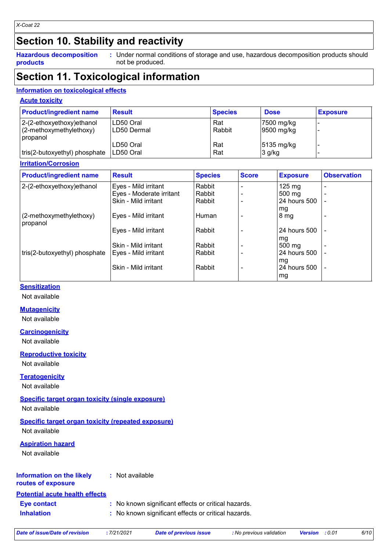# **Section 10. Stability and reactivity**

**Hazardous decomposition products**

Under normal conditions of storage and use, hazardous decomposition products should **:** not be produced.

# **Section 11. Toxicological information**

# **Information on toxicological effects**

### **Acute toxicity**

| <b>Product/ingredient name</b> | <b>Result</b> | <b>Species</b> | <b>Dose</b>          | <b>Exposure</b> |
|--------------------------------|---------------|----------------|----------------------|-----------------|
| $ 2-(2-ethoxyethoxy)ethanol$   | LD50 Oral     | Rat            | 7500 mg/kg           |                 |
| $(2-methoxy methodk)$          | ILD50 Dermal  | Rabbit         | 9500 mg/kg           |                 |
| propanol                       |               |                |                      |                 |
|                                | LD50 Oral     | Rat            | $5135 \text{ mg/kg}$ |                 |
| tris(2-butoxyethyl) phosphate  | LD50 Oral     | Rat            | $3$ g/kg             |                 |

## **Irritation/Corrosion**

| <b>Product/ingredient name</b>      | <b>Result</b>            | <b>Species</b> | <b>Score</b> | <b>Exposure</b>  | <b>Observation</b> |
|-------------------------------------|--------------------------|----------------|--------------|------------------|--------------------|
| 2-(2-ethoxyethoxy)ethanol           | Eyes - Mild irritant     | Rabbit         |              | $125 \text{ mg}$ |                    |
|                                     | Eyes - Moderate irritant | Rabbit         |              | $500 \text{ mg}$ |                    |
|                                     | Skin - Mild irritant     | Rabbit         |              | 24 hours 500     |                    |
|                                     |                          |                |              | mg               |                    |
| (2-methoxymethylethoxy)<br>propanol | Eyes - Mild irritant     | Human          |              | 8 <sub>mg</sub>  |                    |
|                                     | Eyes - Mild irritant     | Rabbit         |              | 24 hours 500     |                    |
|                                     |                          |                |              | mg               |                    |
|                                     | Skin - Mild irritant     | Rabbit         |              | $500 \text{ mg}$ |                    |
| tris(2-butoxyethyl) phosphate       | Eyes - Mild irritant     | Rabbit         |              | 24 hours 500     |                    |
|                                     |                          |                |              | mg               |                    |
|                                     | Skin - Mild irritant     | Rabbit         |              | 24 hours 500     | $\overline{a}$     |
|                                     |                          |                |              | mg               |                    |

# **Sensitization**

Not available

# **Mutagenicity**

Not available

## **Carcinogenicity**

Not available

## **Reproductive toxicity**

Not available

## **Teratogenicity**

Not available

# **Specific target organ toxicity (single exposure)**

Not available

# **Specific target organ toxicity (repeated exposure)**

Not available

## **Aspiration hazard**

Not available

#### **Information on the likely routes of exposure :** Not available

# **Potential acute health effects**

**Eye contact :** No known significant effects or critical hazards.

**Inhalation :** No known significant effects or critical hazards.

|  |  | Date of issue/Date of revision |  |
|--|--|--------------------------------|--|
|  |  |                                |  |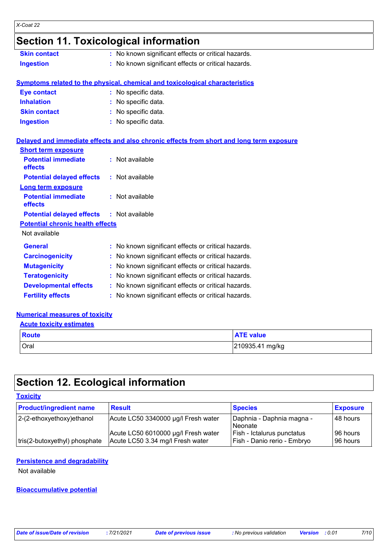# **Section 11. Toxicological information**

| <b>Skin contact</b> | : No known significant effects or critical hazards. |
|---------------------|-----------------------------------------------------|
| <b>Ingestion</b>    | : No known significant effects or critical hazards. |

# **Symptoms related to the physical, chemical and toxicological characteristics**

| <b>Eye contact</b>  | : No specific data. |
|---------------------|---------------------|
| <b>Inhalation</b>   | : No specific data. |
| <b>Skin contact</b> | : No specific data. |
| <b>Ingestion</b>    | : No specific data. |

## **Delayed and immediate effects and also chronic effects from short and long term exposure**

| <b>Short term exposure</b>                       |                                                     |
|--------------------------------------------------|-----------------------------------------------------|
| <b>Potential immediate</b><br>effects            | $:$ Not available                                   |
| <b>Potential delayed effects</b>                 | : Not available                                     |
| Long term exposure                               |                                                     |
| <b>Potential immediate</b><br>effects            | $:$ Not available                                   |
| <b>Potential delayed effects : Not available</b> |                                                     |
| <b>Potential chronic health effects</b>          |                                                     |
| Not available                                    |                                                     |
| <b>General</b>                                   | : No known significant effects or critical hazards. |
| <b>Carcinogenicity</b>                           | : No known significant effects or critical hazards. |
| <b>Mutagenicity</b>                              | : No known significant effects or critical hazards. |
| <b>Teratogenicity</b>                            | : No known significant effects or critical hazards. |
| <b>Developmental effects</b>                     | : No known significant effects or critical hazards. |
| <b>Fertility effects</b>                         | : No known significant effects or critical hazards. |

# **Numerical measures of toxicity**

| <b>Acute toxicity estimates</b> |                  |
|---------------------------------|------------------|
| <b>Route</b>                    | <b>ATE value</b> |
| Oral                            | 210935.41 mg/kg  |

# **Section 12. Ecological information**

### **Toxicity**

| <b>Product/ingredient name</b> | <b>Result</b>                                                           | <b>Species</b>                                            | <b>Exposure</b>      |
|--------------------------------|-------------------------------------------------------------------------|-----------------------------------------------------------|----------------------|
| 2-(2-ethoxyethoxy)ethanol      | Acute LC50 3340000 µg/l Fresh water                                     | Daphnia - Daphnia magna -<br>l Neonate                    | 48 hours             |
| tris(2-butoxyethyl) phosphate  | Acute LC50 6010000 µg/l Fresh water<br>Acute LC50 3.34 mg/l Fresh water | Fish - Ictalurus punctatus<br>Fish - Danio rerio - Embryo | 96 hours<br>96 hours |

## **Persistence and degradability**

Not available

# **Bioaccumulative potential**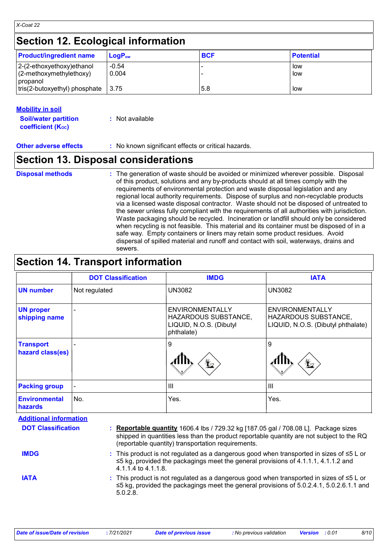# **Section 12. Ecological information**

| <b>Product/ingredient name</b>                          | $LoaPow$         | <b>BCF</b> | <b>Potential</b> |
|---------------------------------------------------------|------------------|------------|------------------|
| 2-(2-ethoxyethoxy) ethanol<br>$(2-methoxymethylethoxy)$ | $-0.54$<br>0.004 |            | l low<br>l low   |
| propanol<br>tris(2-butoxyethyl) phosphate               | 13.75            | 5.8        | low              |

## **Mobility in soil**

| <b>Soil/water partition</b> | : Not available |
|-----------------------------|-----------------|
| <b>coefficient (Koc)</b>    |                 |

**Other adverse effects** : No known significant effects or critical hazards.

# **Section 13. Disposal considerations**

|  | <b>Disposal methods</b> |
|--|-------------------------|
|  |                         |

**Disposal methods** : The generation of waste should be avoided or minimized wherever possible. Disposal of this product, solutions and any by-products should at all times comply with the requirements of environmental protection and waste disposal legislation and any regional local authority requirements. Dispose of surplus and non-recyclable products via a licensed waste disposal contractor. Waste should not be disposed of untreated to the sewer unless fully compliant with the requirements of all authorities with jurisdiction. Waste packaging should be recycled. Incineration or landfill should only be considered when recycling is not feasible. This material and its container must be disposed of in a safe way. Empty containers or liners may retain some product residues. Avoid dispersal of spilled material and runoff and contact with soil, waterways, drains and sewers.

# **Section 14. Transport information**

|                                      | <b>DOT Classification</b> | <b>IMDG</b>                                                                                    | <b>IATA</b>                                                                          |
|--------------------------------------|---------------------------|------------------------------------------------------------------------------------------------|--------------------------------------------------------------------------------------|
| <b>UN</b> number                     | Not regulated             | <b>UN3082</b>                                                                                  | <b>UN3082</b>                                                                        |
| <b>UN proper</b><br>shipping name    |                           | <b>ENVIRONMENTALLY</b><br><b>HAZARDOUS SUBSTANCE,</b><br>LIQUID, N.O.S. (Dibutyl<br>phthalate) | <b>ENVIRONMENTALLY</b><br>HAZARDOUS SUBSTANCE,<br>LIQUID, N.O.S. (Dibutyl phthalate) |
| <b>Transport</b><br>hazard class(es) |                           | 9<br>$\bigstar$                                                                                | 9<br>$\bigstar$                                                                      |
| <b>Packing group</b>                 | -                         | Ш                                                                                              | $\mathbf{III}$                                                                       |
| <b>Environmental</b><br>hazards      | No.                       | Yes.                                                                                           | Yes.                                                                                 |

| <b>DOT Classification</b> | : Reportable quantity 1606.4 lbs / 729.32 kg [187.05 gal / 708.08 L]. Package sizes<br>shipped in quantities less than the product reportable quantity are not subject to the RQ<br>(reportable quantity) transportation requirements. |  |
|---------------------------|----------------------------------------------------------------------------------------------------------------------------------------------------------------------------------------------------------------------------------------|--|
| <b>IMDG</b>               | : This product is not regulated as a dangerous good when transported in sizes of $\leq 5$ L or<br>$\leq$ 5 kg, provided the packagings meet the general provisions of 4.1.1.1, 4.1.1.2 and<br>$4.1.1.4$ to $4.1.1.8$ .                 |  |
| <b>IATA</b>               | : This product is not regulated as a dangerous good when transported in sizes of $\leq 5$ L or<br>$\leq$ 5 kg, provided the packagings meet the general provisions of 5.0.2.4.1, 5.0.2.6.1.1 and<br>5.0.2.8                            |  |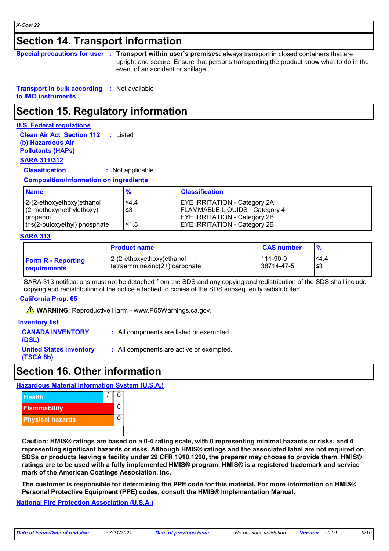# **Section 14. Transport information**

| Special precautions for user : Transport within user's premises: always transport in closed containers that are |
|-----------------------------------------------------------------------------------------------------------------|
| upright and secure. Ensure that persons transporting the product know what to do in the                         |
| event of an accident or spillage.                                                                               |

**Transport in bulk according :** Not available **to IMO instruments**

# **Section 15. Regulatory information**

## **U.S. Federal regulations**

**Clean Air Act Section 112 :** Listed **(b) Hazardous Air Pollutants (HAPs)**

# **SARA 311/312**

## **Classification :** Not applicable

## **Composition/information on ingredients**

| <b>Name</b>                   | $\frac{9}{6}$ | <b>Classification</b>                 |
|-------------------------------|---------------|---------------------------------------|
| 2-(2-ethoxyethoxy)ethanol     | ≤4.4          | <b>EYE IRRITATION - Category 2A</b>   |
| $(2$ -methoxymethylethoxy)    | ≤3            | <b>FLAMMABLE LIQUIDS - Category 4</b> |
| propanol                      |               | <b>EYE IRRITATION - Category 2B</b>   |
| tris(2-butoxyethyl) phosphate | ≤1.8          | <b>EYE IRRITATION - Category 2B</b>   |

### **SARA 313**

|                           | <b>∣ Product name</b>         | <b>CAS number</b> | $\frac{9}{6}$ |
|---------------------------|-------------------------------|-------------------|---------------|
| <b>Form R - Reporting</b> | 12-(2-ethoxyethoxy)ethanol    | $111-90-0$        | ≤4.4          |
| requirements              | tetraamminezinc(2+) carbonate | 38714-47-5        | ≤3            |

SARA 313 notifications must not be detached from the SDS and any copying and redistribution of the SDS shall include copying and redistribution of the notice attached to copies of the SDS subsequently redistributed.

## **California Prop. 65**

**A** WARNING: Reproductive Harm - www.P65Warnings.ca.gov.

### **Inventory list**

| <b>CANADA INVENTORY</b><br>(DSL)            | : All components are listed or exempted. |
|---------------------------------------------|------------------------------------------|
| <b>United States inventory</b><br>(TSCA 8b) | : All components are active or exempted. |

# **Section 16. Other information**

## **Hazardous Material Information System (U.S.A.)**



**Caution: HMIS® ratings are based on a 0-4 rating scale, with 0 representing minimal hazards or risks, and 4 representing significant hazards or risks. Although HMIS® ratings and the associated label are not required on SDSs or products leaving a facility under 29 CFR 1910.1200, the preparer may choose to provide them. HMIS® ratings are to be used with a fully implemented HMIS® program. HMIS® is a registered trademark and service mark of the American Coatings Association, Inc.**

**The customer is responsible for determining the PPE code for this material. For more information on HMIS® Personal Protective Equipment (PPE) codes, consult the HMIS® Implementation Manual.**

## **National Fire Protection Association (U.S.A.)**